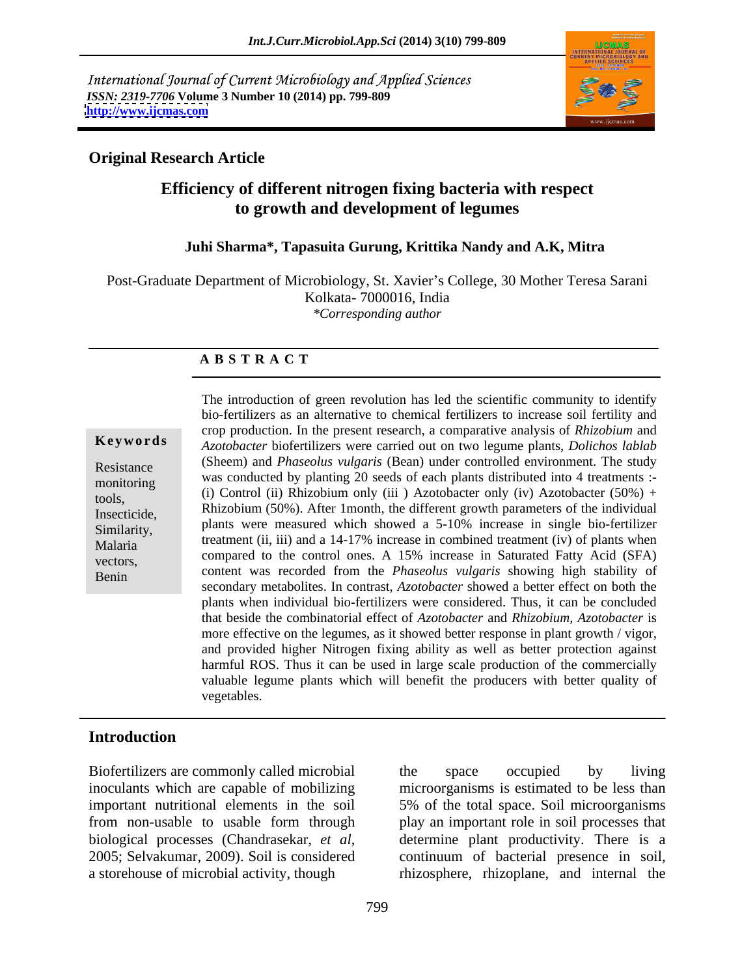International Journal of Current Microbiology and Applied Sciences *ISSN: 2319-7706* **Volume 3 Number 10 (2014) pp. 799-809 <http://www.ijcmas.com>**



## **Original Research Article**

## **Efficiency of different nitrogen fixing bacteria with respect to growth and development of legumes**

## **Juhi Sharma\*, Tapasuita Gurung, Krittika Nandy and A.K, Mitra**

Post-Graduate Department of Microbiology, St. Xavier's College, 30 Mother Teresa Sarani Kolkata- 7000016, India *\*Corresponding author* 

## **A B S T R A C T**

**Ke ywo rds** *Azotobacter* biofertilizers were carried out on two legume plants, *Dolichos lablab* Resistance (Sheem) and *Phaseolus vulgaris* (Bean) under controlled environment. The study was conducted by planting 20 seeds of each plants distributed into 4 treatments :-<br>
(i)  $G_{\text{tot}}$  and (ii)  $\sum_{n=1}^{\infty}$  (iii)  $\sum_{n=1}^{\infty}$  (iii)  $\sum_{n=1}^{\infty}$  (iii)  $\sum_{n=1}^{\infty}$  (iii)  $\sum_{n=1}^{\infty}$  (iii)  $\sum_{n=1}^{\$ tools, (i) Control (ii) Rhizobium only (iii ) Azotobacter only (iv) Azotobacter (50%) + Insecticide, Rhizobium  $(50\%)$ . After 1month, the different growth parameters of the individual Similarity, plants were measured which showed a 5-10% increase in single bio-fertilizer  $Malaria$  treatment (ii, iii) and a 14-17% increase in combined treatment (iv) of plants when extends compared to the control ones. A 15% increase in Saturated Fatty Acid (SFA) Benin content was recorded from the *Phaseolus vulgaris* showing high stability of The introduction of green revolution has led the scientific community to identify bio-fertilizers as an alternative to chemical fertilizers to increase soil fertility and crop production. In the present research, a comparative analysis of *Rhizobium* and secondary metabolites. In contrast, *Azotobacter* showed a better effect on both the plants when individual bio-fertilizers were considered. Thus, it can be concluded that beside the combinatorial effect of *Azotobacter* and *Rhizobium*, *Azotobacter* is more effective on the legumes, as it showed better response in plant growth / vigor, and provided higher Nitrogen fixing ability as well as better protection against harmful ROS. Thus it can be used in large scale production of the commercially valuable legume plants which will benefit the producers with better quality of vegetables.

## **Introduction**

Biofertilizers are commonly called microbial the space occupied by living

inoculants which are capable of mobilizing microorganisms is estimated to be less than important nutritional elements in the soil 5% of the total space. Soil microorganisms from non-usable to usable form through play an important role in soil processes that biological processes (Chandrasekar, *et al*, 2005; Selvakumar, 2009). Soil is considered a storehouse of microbial activity, though rhizosphere, rhizoplane, and internal the the space occupied by living determine plant productivity. There is a continuum of bacterial presence in soil,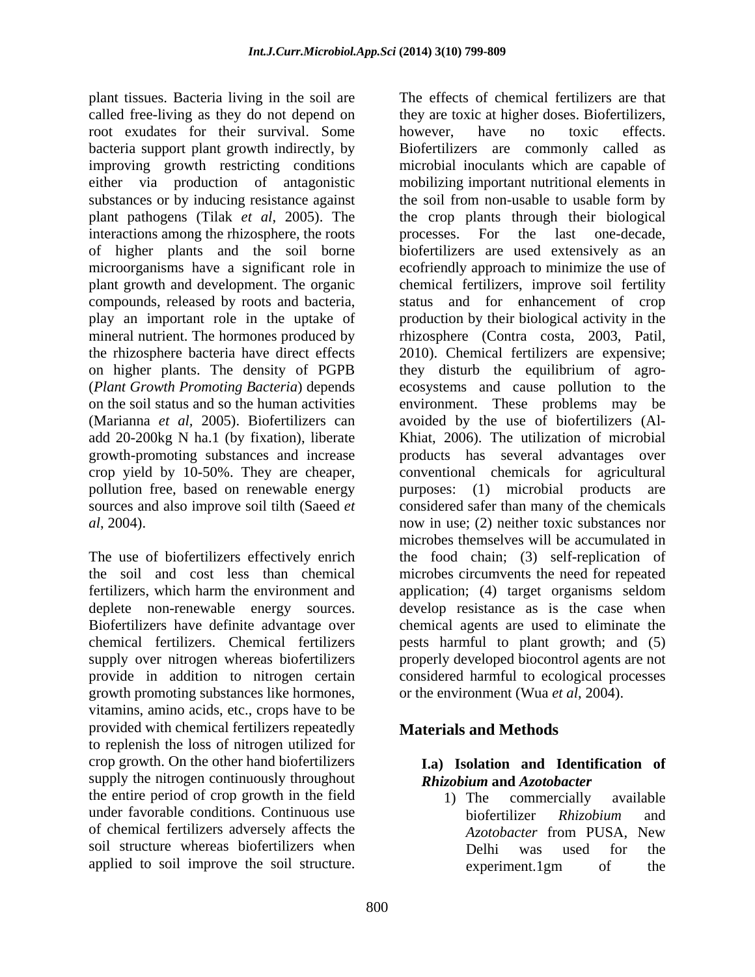plant tissues. Bacteria living in the soil are root exudates for their survival. Some bowever, have no toxic effects. improving growth restricting conditions interactions among the rhizosphere, the roots processes. For the last one-decade, crop yield by 10-50%. They are cheaper, pollution free, based on renewable energy purposes: (1) microbial products are

provide in addition to nitrogen certain growth promoting substances like hormones, or the environment (Wua et al. 2004). vitamins, amino acids, etc., crops have to be provided with chemical fertilizers repeatedly to replenish the loss of nitrogen utilized for crop growth. On the other hand biofertilizers supply the nitrogen continuously throughout the entire period of crop growth in the field 1) The commercially available under favorable conditions. Continuous use biofertilizer Rhizobium and of chemical fertilizers adversely affects the Azotobacter from PUSA, New soil structure whereas biofertilizers when Delhi was used for the

called free-living as they do not depend on they are toxic at higher doses. Biofertilizers, bacteria support plant growth indirectly, by Biofertilizers are commonly called as either via production of antagonistic mobilizing important nutritional elements in substances or by inducing resistance against the soil from non-usable to usable form by plant pathogens (Tilak *et al*, 2005). The the crop plants through their biological of higher plants and the soil borne biofertilizers are used extensively asan microorganisms have a significant role in ecofriendly approach to minimize the use of plant growth and development. The organic chemical fertilizers, improve soil fertility compounds, released by roots and bacteria, status and for enhancement of crop play an important role in the uptake of production by their biological activity in the mineral nutrient. The hormones produced by rhizosphere (Contra costa, 2003, Patil, the rhizosphere bacteria have direct effects 2010). Chemical fertilizers are expensive; on higher plants. The density of PGPB they disturb the equilibrium of agro- (*Plant Growth Promoting Bacteria*) depends ecosystems and cause pollution to the on the soil status and so the human activities environment. These problems may be (Marianna *et al*, 2005). Biofertilizers can avoided by the use of biofertilizers (Aladd 20-200kg N ha.1 (by fixation), liberate Khiat, 2006). The utilization of microbial growth-promoting substances and increase products has several advantages over sources and also improve soil tilth (Saeed *et* considered safer than many of the chemicals *al*, 2004). now in use; (2) neither toxic substances nor The use of biofertilizers effectively enrich the food chain; (3) self-replication of the soil and cost less than chemical microbes circumvents the need for repeated fertilizers, which harm the environment and application; (4) target organisms seldom deplete non-renewable energy sources. develop resistance as is the case when Biofertilizers have definite advantage over chemical agents are used to eliminate the chemical fertilizers. Chemical fertilizers pests harmful to plant growth; and (5) supply over nitrogen whereas biofertilizers properly developed biocontrol agents are not plant risons. Parentra liveraging the solities are the solitical fertilizers are the solitical fertilizers are the solitical fertilizers of the solitical fertilizers are too to solite the solite source the solite source t however, have no toxic effects. microbial inoculants which are capable of processes. For the last one-decade, conventional chemicals for agricultural purposes:  $(1)$  microbial products microbes themselves will be accumulated in considered harmful to ecological processes or the environment (Wua *et al*, 2004). **Materials and Methods**

## **I.a) Isolation and Identification of** *Rhizobium* **and** *Azotobacter*

1) The commercially available biofertilizer *Rhizobium* and *Azotobacter* from PUSA, New Delhi was used for the experiment.1gm of the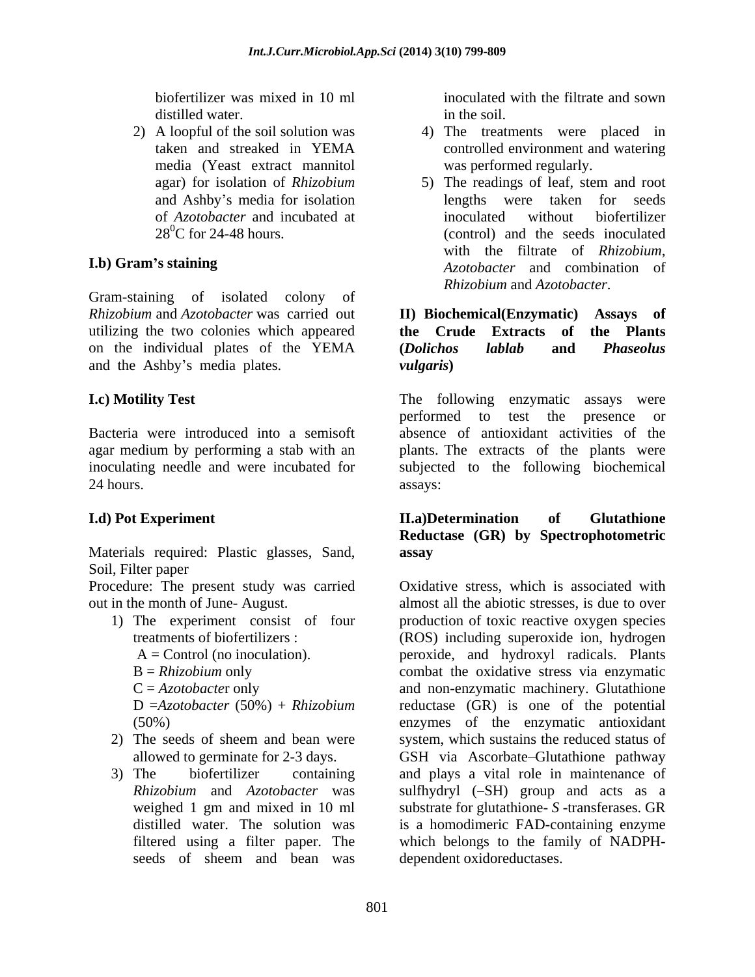media (Yeast extract mannitol

Gram-staining of isolated colony of *Rhizobium* and *Azotobacter* was carried out **II**) **Biochemical**(**Enzymatic**) **Assays** of utilizing the two colonies which appeared **the Crude Extracts of the Plants** on the individual plates of the YEMA (Dolichos lablab and Phaseolus and the Ashby's media plates.  $vulgaris)$ 

24 hours. assays:

Materials required: Plastic glasses, Sand, Soil, Filter paper

Procedure: The present study was carried

- -
	-
	-

- 
- 

biofertilizer was mixed in 10 ml inoculated with the filtrate and sown distilled water.  $\qquad \qquad$  in the soil. in the soil.

- 2) A loopful of the soil solution was 4) The treatments were placed in taken and streaked in YEMA controlled environment and watering was performed regularly.
- agar) for isolation of *Rhizobium* and Ashby's media for isolation beingths were taken for seeds of *Azotobacter* and incubated at inoculated without biofertilizer<br>28<sup>0</sup>C for 24-48 hours. (control) and the seeds inoculated  $28^0C$  for 24-48 hours. (control) and the seeds inoculated **I.b) Gram's staining**  $A$ *zotobacter* and combination of 5) The readings of leaf, stem and root lengths were taken for inoculated without biofertilizer with the filtrate of *Rhizobium*, *Azotobacter* and combination of *Rhizobium* and *Azotobacter*.

## **II)** Biochemical(Enzymatic) **the Crude Extracts** of **(***Dolichos lablab* **and** *Phaseolus vulgaris***)**

**I.c) Motility Test I.e.** The following enzymatic assays were Bacteria were introduced into a semisoft absence of antioxidant activities of the agar medium by performing a stab with an plants. The extracts of the plants were inoculating needle and were incubated for subjected to the following biochemical The following enzymatic assays were performed to test the presence or assays:

## **I.d) Pot Experiment II.a)Determination of Glutathione Reductase (GR) by Spectrophotometric assay**

out in the month of June- August. almost all the abiotic stresses, is due to over 1) The experiment consist of four production of toxic reactive oxygen species treatments of biofertilizers : (ROS) including superoxide ion, hydrogen A = Control (no inoculation). peroxide, and hydroxyl radicals. Plants B = *Rhizobium* only combat the oxidative stress via enzymatic C = *Azotobacter* only and non-enzymatic machinery. Glutathione D =*Azotobacter* (50%) + *Rhizobium* reductase (GR) is one of the potential (50%) enzymes of the enzymatic antioxidant 2) The seeds of sheem and bean were system, which sustains the reduced status of allowed to germinate for 2-3 days. GSH via Ascorbate Glutathione pathway 3) The biofertilizer containing and plays a vital role in maintenance of *Rhizobium* and *Azotobacter* was sulfhydryl (-SH) group and acts as a weighed 1 gm and mixed in 10 ml substrate for glutathione- *S* -transferases. GR distilled water. The solution was is a homodimeric FAD-containing enzyme filtered using a filter paper. The which belongs to the family of NADPH seeds of sheem and bean was dependent oxidoreductases. Oxidative stress, which is associated with dependent oxidoreductases.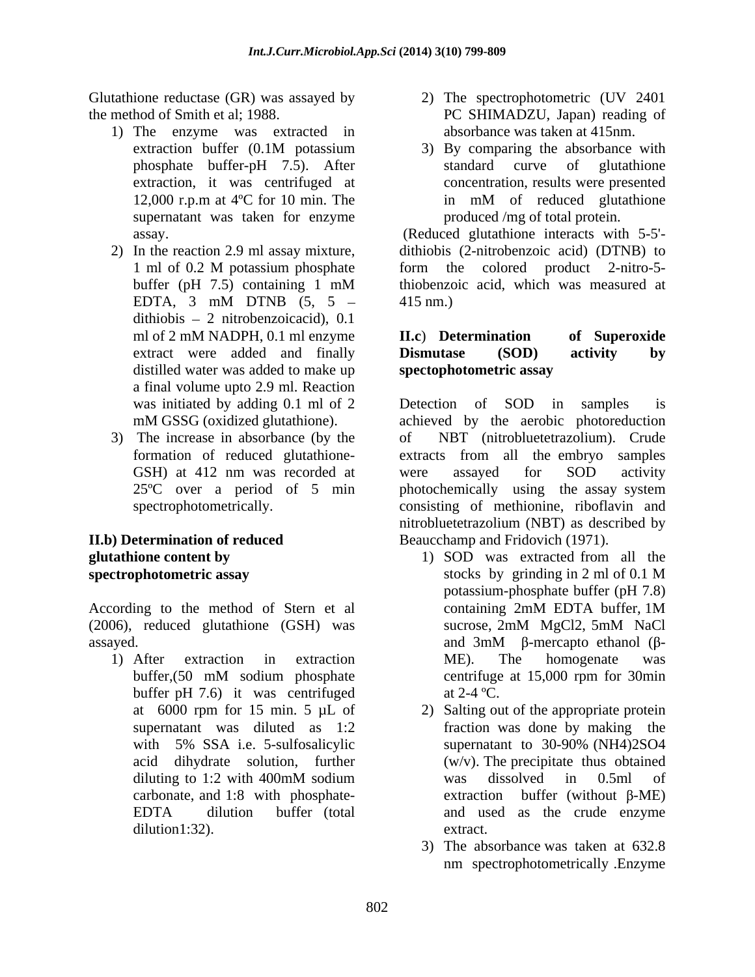Glutathione reductase (GR) was assayed by the method of Smith et al; 1988. PC SHIMADZU, Japan) reading of

- 1) The enzyme was extracted in supernatant was taken for enzyme
- dithiobis  $-2$  nitrobenzoicacid), 0.1 distilled water was added to make up spectophotometric assay a final volume upto 2.9 ml. Reaction
- 3) The increase in absorbance (by the

According to the method of Stern et al containing 2mM EDTA buffer, 1M (2006), reduced glutathione (GSH) was sucrose, 2mM MgCl2, 5mM NaCl (2006), reduced glutathione (GSH) was assayed. assayed. A sample of the sample of the sample of the sample of the sample of the sample of the sample of the sample of the sample of the sample of the sample of the sample of the sample of the sample of the sample

buffer pH 7.6) it was centrifuged at  $2-4$  °C. dilution1:32). extract.

- 2) The spectrophotometric (UV 2401 absorbance was taken at 415nm.
- extraction buffer (0.1M potassium 3) By comparing the absorbance with phosphate buffer-pH 7.5). After extraction, it was centrifuged at concentration, results were presented 12,000 r.p.m at 4<sup>o</sup>C for 10 min. The in mM of reduced glutathione 3) By comparing the absorbance with standard curve of glutathione in mM of reduced glutathione produced /mg of total protein.

assay. (Reduced glutathione interacts with 5-5'- 2) In the reaction 2.9 ml assay mixture, dithiobis (2-nitrobenzoic acid) (DTNB) to 1 ml of 0.2 M potassium phosphate form the colored product 2-nitro-5buffer (pH 7.5) containing 1 mM EDTA, 3 mM DTNB  $(5, 5 - 415)$  nm.) form the colored product 2-nitro-5 thiobenzoic acid, which was measured at 415 nm.)

### ml of 2 mM NADPH, 0.1 ml enzyme **II.c**) **Determination** of **Superoxide** extract were added and finally **Dismutase** (SOD) activity by **II.c**) **Determination of Superoxide Dismutase (SOD) activity by spectophotometric assay**

was initiated by adding 0.1 ml of 2 Detection of SOD in samples is mM GSSG (oxidized glutathione). achieved by the aerobic photoreduction formation of reduced glutathione- extracts from all the embryo samples GSH) at 412 nm was recorded at were assayed for SOD activity 25ºC over a period of 5 min photochemically using the assay system spectrophotometrically. consisting of methionine, riboflavin and **II.b) Determination of reduced**  Beaucchamp and Fridovich (1971). Detection of SOD in samples is NBT (nitrobluetetrazolium). Crude were assayed for SOD activity nitrobluetetrazolium (NBT) as described by

- **glutathione content by by glutathione content by content by content by content by content by content by content by content by content by content by content by content by content by content by spectrophotometric assay** stocks by grinding in 2 ml of 0.1 M 1) After extraction in extraction ME). The homogenate was buffer,(50 mM sodium phosphate 1) SOD was extracted from all the stocks by grinding in 2 ml of 0.1 M potassium-phosphate buffer (pH 7.8) containing 2mM EDTA buffer, 1M sucrose, 2mM MgCl2, 5mM NaCl and  $3mM$   $\beta$ -mercapto ethanol ( $\beta$ -ME). The homogenate was centrifuge at 15,000 rpm for 30min at  $2-4$  °C.
	- at 6000 rpm for 15 min. 5 µL of 2) Salting out of the appropriate protein supernatant was diluted as 1:2 fraction was done by making the with 5% SSA i.e. 5-sulfosalicylic supernatant to 30-90% (NH4)2SO4 acid dihydrate solution, further (w/v). The precipitate thus obtained diluting to 1:2 with 400mM sodium carbonate, and 1:8 with phosphate-<br>extraction buffer (without  $\beta$ -ME) EDTA dilution buffer (total and used as the crude enzyme supernatant to 30-90% (NH4)2SO4 was dissolved in 0.5ml of extraction buffer (without  $\beta$ -ME) extract.
		- 3) The absorbance was taken at 632.8 nm spectrophotometrically .Enzyme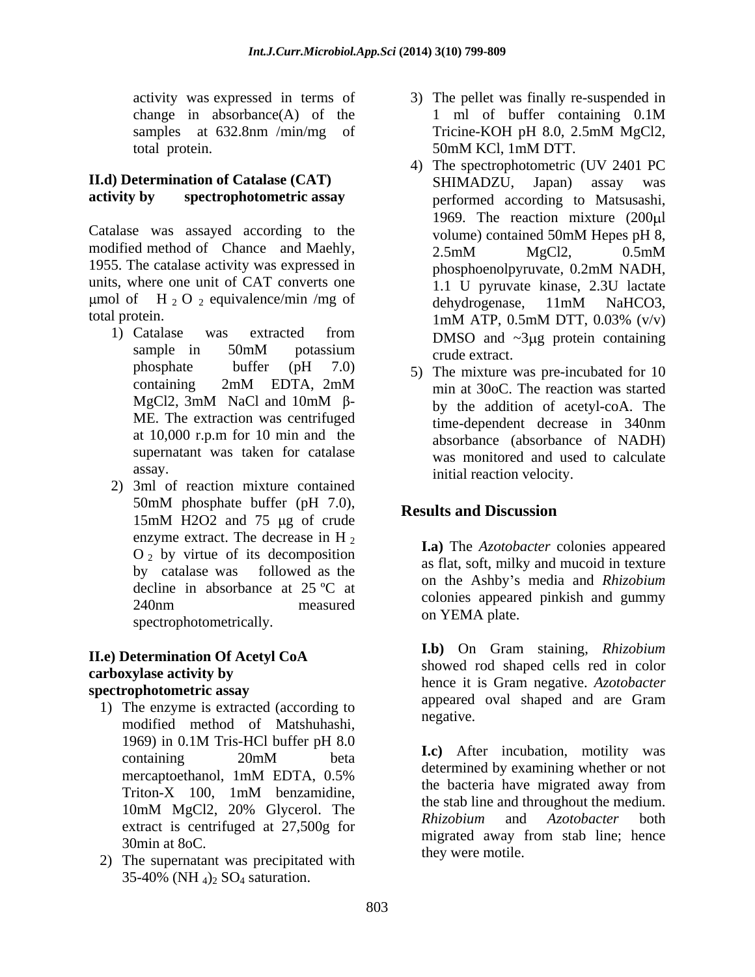## **II.d) Determination of Catalase (CAT)**

Catalase was assayed according to the volume) contained 50mM Hepes pH 8, modified method of Chance and Maehly, 2.5mM MgCl2, 0.5mM 1955. The catalase activity was expressed in phosphoenolpyruvate, 0.2mM NADH, units, where one unit of CAT converts one  $\frac{1}{1.1}$  U pyruvate kinase, 2.3U lactate  $\mu$ mol of H 2 O 2 equivalence/min /mg of dehydrogenase, 11mM NaHCO3,

- phosphate buffer  $(pH 7.0)$  5) The mixture was pre-incubated for 10 supernatant was taken for catalase
- 2) 3ml of reaction mixture contained 50mM phosphate buffer  $(pH 7.0)$ ,  $\bf{p}_{\text{osculation}}$ 15mM H2O2 and 75 µg of crude enzyme extract. The decrease in H<sub>2</sub>  $\overline{I}$  a) The Aratchester extension expressed  $O<sub>2</sub>$  by virtue of its decomposition spectrophotometrically.

# **II.e) Determination Of Acetyl CoA**

- 1) The enzyme is extracted (according to  $\frac{ap$  peared negative. modified method of Matshuhashi, 1969) in 0.1M Tris-HCl buffer pH  $8.0$
- 2) The supernatant was precipitated with 35-40% (NH  $_4$ )<sub>2</sub> SO<sub>4</sub> saturation.
- activity was expressed in terms of 3) The pellet was finally re-suspended in change in absorbance $(A)$  of the  $1 \text{ ml}$  of buffer containing  $0.1M$ samples at 632.8nm /min/mg of Tricine-KOH pH 8.0, 2.5mM MgCl2, total protein. 50mM KCl, 1mM DTT. 1 ml of buffer containing 0.1M Tricine-KOH pH 8.0, 2.5mM MgCl2,
- **activity by spectrophotometric assay** performed according to Matsusashi, total protein.  $1 \text{m} \text{M}$  ATP,  $0.5 \text{m} \text{M}$  DTT,  $0.03\%$  (v/v) 1) Catalase was extracted from  $\sum_{n=1}^{\infty}$  DMSO and  $\approx$ 3110 protein containing sample in  $50 \text{mM}$  potassium crude extract 4) The spectrophotometric (UV 2401 PC SHIMADZU, Japan) assay was 1969. The reaction mixture (200 ul volume) contained 50mM Hepes pH 8, 2.5mM MgCl2, 0.5mM phosphoenolpyruvate, 0.2mM NADH, 1.1 U pyruvate kinase, 2.3U lactate dehydrogenase, 11mM NaHCO3, 1mM ATP, 0.5mM DTT, 0.03% (v/v) DMSO and  $\sim 3\mu$ g protein containing crude extract.
	- containing  $2mM$  EDTA,  $2mM$   $\qquad \qquad \text{min at } 30 \text{ oC}$  The reaction was started MgCl2, 3mM NaCl and 10mM  $\beta$ -<br>by the addition of acetyl-coA. The ME. The extraction was centrifuged time-dependent decrease in 340nm at  $10,000$  r.p.m for 10 min and the  $\frac{1}{2}$  absorbance (absorbance of NADH) assay. **initial reaction velocity**. 5) The mixture was pre-incubated for 10 min at 30oC. The reaction was started by the addition of acetyl-coA. The time-dependent decrease in 340nm absorbance (absorbance of NADH) was monitored and used to calculate

## **Results and Discussion**

by catalase was followed as the  $\frac{a_0}{b_0}$  as  $\frac{b_1}{c_0}$  and  $\frac{b_2}{c_0}$  and  $\frac{b_1}{c_0}$  and  $\frac{b_2}{c_0}$  and  $\frac{b_1}{c_0}$ . decline in absorbance at  $25 \text{ °C}$  at the Asilog areas declined and  $Nn_z$  $240$ nm measured  $240$ nm measured  $240$ nm  $240$ nm  $240$ nm  $240$ nm  $240$ nm  $240$ nm  $240$ nm  $240$ nm  $240$ nm  $240$ nm  $240$ nm  $240$ nm  $240$ nm  $240$ nm  $240$ nm  $240$ nm  $240$ nm  $240$ nm  $240$ nm  $240$ nm  $240$ nm  $240$ nm  $240$ nm  $24$ **I.a)** The *Azotobacter* colonies appeared as flat, soft, milky and mucoid in texture on the Ashby s media and *Rhizobium* colonies appeared pinkish and gummy on YEMA plate.

**carboxylase activity by** showed four shaped cens fed in color hence it is Gram negative. Azotobacter **spectrophotometric assay**<br>
<sup>1</sup> appeared oval shaped and are Gram **I.b)** On Gram staining, *Rhizobium*  showed rod shaped cells red in color hence it is Gram negative. *Azotobacter* appeared oval shaped and are Gram negative.

 $\frac{1}{20m}$  beta  $\frac{1}{20m}$  beta  $\frac{1}{20m}$  beta  $\frac{1}{20m}$  beta  $\frac{1}{2000}$  beta  $\frac{1}{2000}$  beta  $\frac{1}{2000}$  beta  $\frac{1}{2000}$  beta  $\frac{1}{2000}$  beta  $\frac{1}{2000}$  beta  $\frac{1}{2000}$  beta  $\frac{1}{2000}$  beta  $\frac{1}{200$ mercaptoethanol, 1mM EDTA, 0.5%  $Triton-X$  100, 1mM benzamidine, the partial have ingrated away from  $10 \text{m}$ M MgCl2,  $20\%$  Glycerol. The the state including and including the medium. extract is centrifuged at 27,500g for Rhizobium and Azotobacter both  $\frac{30 \text{ min at 80 C}}{20 \text{ min at 80 C}}$  at  $\frac{27,500 \text{ g}}{20 \text{ min at 80 C}}$  migrated away from stab line; hence **I.c)** After incubation, motility was determined by examining whether or not the bacteria have migrated away from the stab line and throughout the medium. *Rhizobium* and *Azotobacter* both they were motile.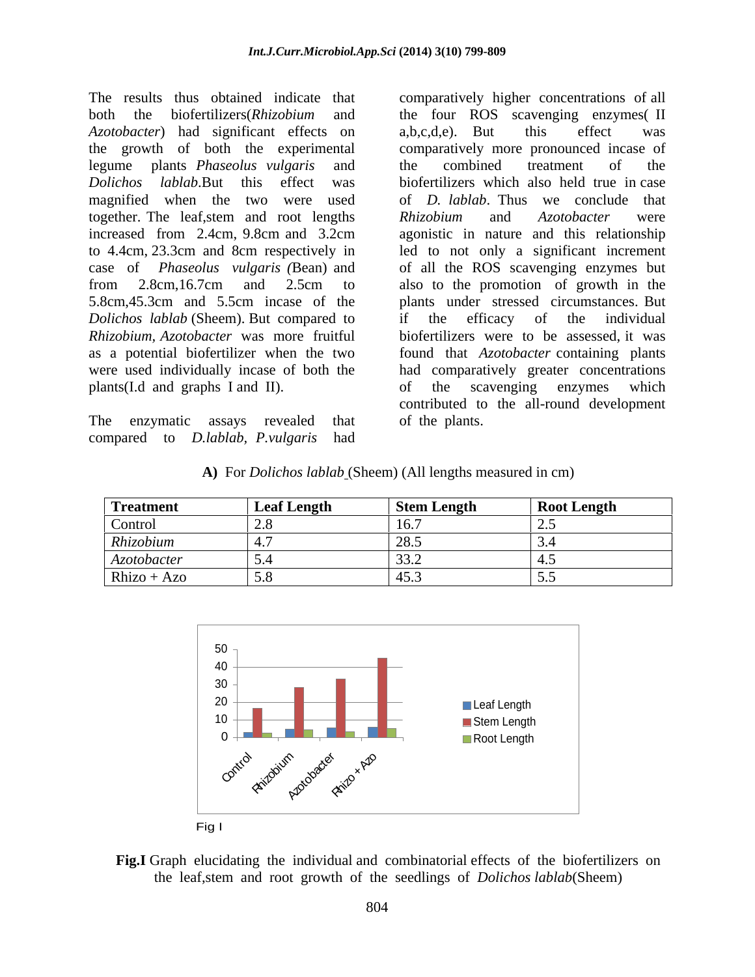The results thus obtained indicate that comparatively higher concentrations of all both the biofertilizers(*Rhizobium* and the four ROS scavenging enzymes( II *Azotobacter*) had significant effects on a,b,c,d,e). But this effect was the growth of both the experimental legume plants *Phaseolus vulgaris* and *Dolichos lablab*.But this effect was biofertilizers which also held true in case magnified when the two were used together. The leaf, stem and root lengths Rhizobium and Azotobacter were increased from 2.4cm, 9.8cm and 3.2cm agonistic in nature and this relationship to 4.4cm, 23.3cm and 8cm respectively in led to not only a significant increment case of *Phaseolus vulgaris (*Bean) and of all the ROS scavenging enzymes but from 2.8cm,16.7cm and 2.5cm to also to the promotion of growth in the 5.8cm,45.3cm and 5.5cm incase of the plants under stressed circumstances. But *Dolichos lablab* (Sheem). But compared to *Rhizobium, Azotobacter* was more fruitful as a potential biofertilizer when the two found that *Azotobacter* containing plants were used individually incase of both the had comparatively greater concentrations plants(I.d and graphs I and II).

The enzymatic assays revealed that of the plants. compared to *D.lablab, P.vulgaris* had

a,b,c,d,e). But this effect was comparatively more pronounced incase of the combined treatment of the of *D. lablab*. Thus we conclude that *Rhizobium* and *Azotobacter* were if the efficacy of the individual biofertilizers were to be assessed, it was of the scavenging enzymes which contributed to the all-round development of the plants.

|  | A) For <i>Dolichos lablab</i> (Sheem) (All lengths measured in cm) |  |
|--|--------------------------------------------------------------------|--|
|--|--------------------------------------------------------------------|--|

| Treatment     | <b>Leaf Length</b> | Stem Length | <b>Root Length</b> |
|---------------|--------------------|-------------|--------------------|
| Control       | ້⊷                 |             |                    |
| Rhizobium     |                    |             |                    |
| Azotobacter   |                    |             |                    |
| $Rhizo + Azo$ | $\cup \cdot \cup$  |             |                    |



**Fig.I** Graph elucidating the individual and combinatorial effects of the biofertilizers on the leaf,stem and root growth of the seedlings of *Dolichos lablab*(Sheem)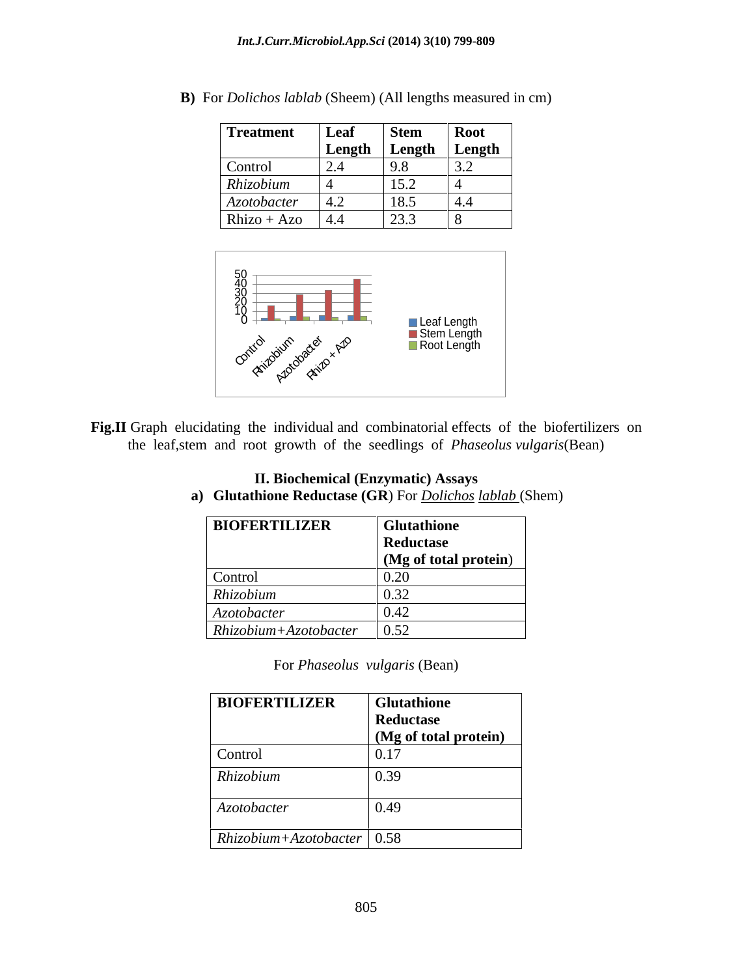| <b>Treatment</b> | Leaf   | <b>Stem</b>  | <b>Root</b>     |
|------------------|--------|--------------|-----------------|
|                  | Length | $Length$ .   | Length          |
| Control          | 2.4    | 9.8          | $\cup$ . $\sim$ |
| Rhizobium        |        | 152<br>1 J.Z |                 |
| Azotobacter      | 4.2    | 18.5         | 4.4             |
| $Rhizo + Azo$    | 4.4    | 23.3         |                 |

**B)** For *Dolichos lablab* (Sheem) (All lengths measured in cm)



Fig.II Graph elucidating the individual and combinatorial effects of the biofertilizers on the leaf,stem and root growth of the seedlings of *Phaseolus vulgaris*(Bean)

| <b>BIOFERTILIZER</b>    | Glutathione                        |
|-------------------------|------------------------------------|
|                         | Reductase                          |
|                         | (Mg of total protein)              |
| Control                 | $\sim$ $\sim$ $\sim$<br>$v.\Delta$ |
| Rhizobium               | $\sim$ $\sim$<br>0.34              |
| Azotobacter             | U.44                               |
| $Rhizobium+Azotobacter$ | 0.52                               |

- **II. Biochemical (Enzymatic) Assays a) Glutathione Reductase (GR**) For *Dolichos lablab* (Shem)
	-

For *Phaseolus vulgaris* (Bean)

| <b>BIOFERTILIZER</b>         | <b>Glutathione</b>    |
|------------------------------|-----------------------|
|                              | Reductase             |
|                              | (Mg of total protein) |
| Control                      | 0.17                  |
| Rhizobium                    | 0.39                  |
| Azotobacter                  | 0.49                  |
| $Rhizobium+Azotobacter$ 0.58 |                       |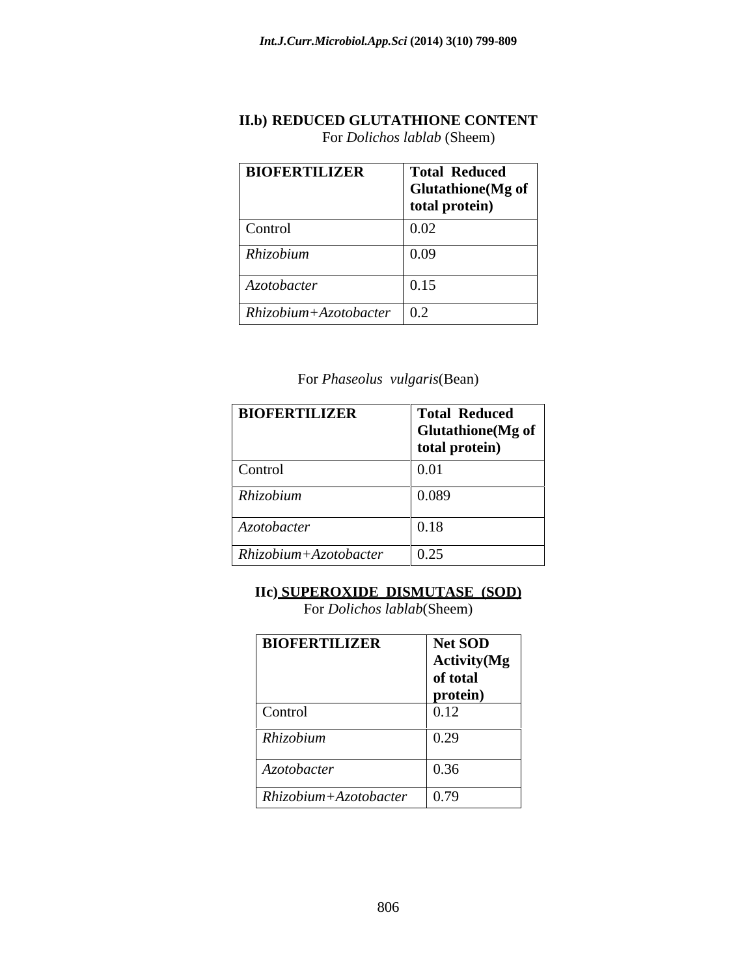## **II.b) REDUCED GLUTATHIONE CONTENT** For *Dolichos lablab* (Sheem)

| <b>BIOFERTILIZER</b>        | <b>Total Reduced</b><br>$\vert$ Glutathione(Mg of $\vert$<br>total protein) |
|-----------------------------|-----------------------------------------------------------------------------|
| Control                     | 0.02                                                                        |
| Rhizobium                   | 0.09                                                                        |
| Azotobacter                 | 0.15                                                                        |
| $Rhizobium+Azotobacter$ 0.2 |                                                                             |

For *Phaseolus vulgaris*(Bean)

| <b>BIOFERTILIZER</b>    | <b>Total Reduced</b><br>$\vert$ Glutathione(Mg of $\vert$<br>total protein) |
|-------------------------|-----------------------------------------------------------------------------|
| Control                 | 0.01                                                                        |
| Rhizobium               | 0.089                                                                       |
| Azotobacter             | 0.18                                                                        |
| $Rhizobium+Azotobacter$ | $\vert 0.25 \vert$                                                          |

## **IIc) SUPEROXIDE DISMUTASE (SOD)**

For *Dolichos lablab*(Sheem)

| <b>BIOFERTILIZER</b>    | Net SOD             |
|-------------------------|---------------------|
|                         | <b>Activity</b> (Mg |
|                         | of total            |
|                         | protein)            |
| Control                 | 0.12                |
| Rhizobium               | 0.29                |
| Azotobacter             | 0.36                |
| $Rhizobium+Azotobacter$ | 0.79                |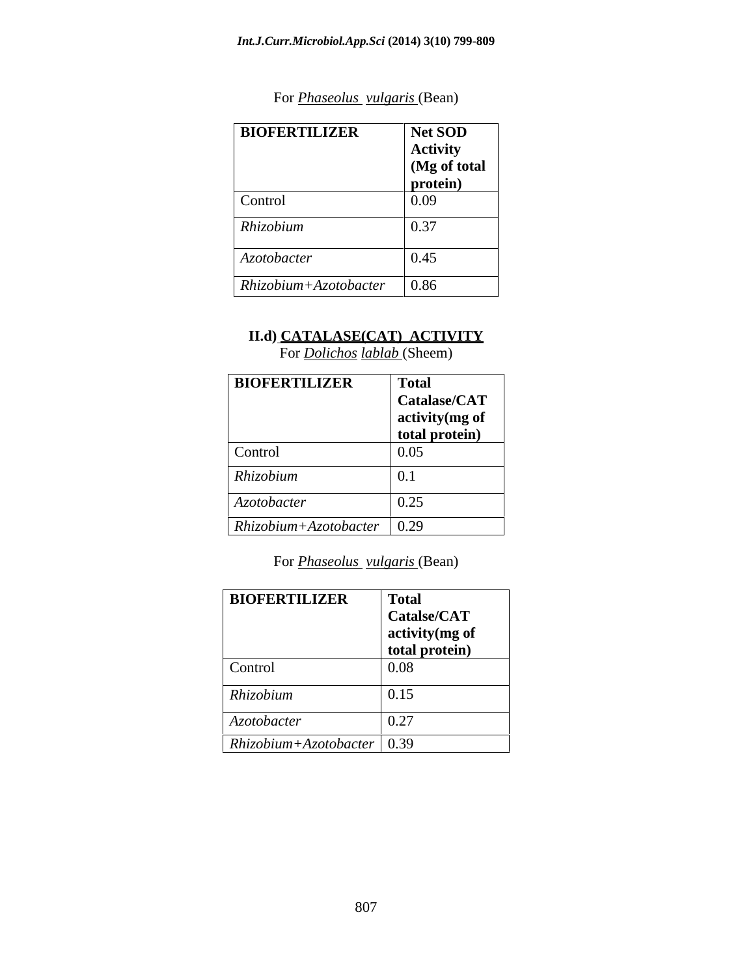| <b>BIOFERTILIZER</b>    | <b>Net SOD</b>  |
|-------------------------|-----------------|
|                         | <b>Activity</b> |
|                         | (Mg of total    |
|                         | protein)        |
| Control                 | 0.09            |
| Rhizobium               | 0.37            |
| Azotobacter             | 0.45            |
| $Rhizobium+Azotobacter$ | 0.86            |

## For *Phaseolus vulgaris* (Bean)

## **II.d) CATALASE(CAT) ACTIVITY**

For *Dolichos lablab* (Sheem)

| <b>BIOFERTILIZER</b>         | <b>Total</b><br>Catalase/CAT<br>activity (mg of |
|------------------------------|-------------------------------------------------|
|                              | total protein)                                  |
| Control                      | 0.05                                            |
| Rhizobium                    | 0.1                                             |
| Azotobacter                  | 0.25                                            |
| $Rhizobium+Azotobacter$ 0.29 |                                                 |

For *Phaseolus vulgaris* (Bean)

| <b>BIOFERTILIZER</b>         | <b>Total</b>     |
|------------------------------|------------------|
|                              | Catalse/CAT      |
|                              | activity (mg of  |
|                              | total protein)   |
| Control                      | $\mid 0.08 \mid$ |
| Rhizobium                    | 0.15             |
| Azotobacter                  | 0.27             |
| $Rhizobium+Azotobacter$ 0.39 |                  |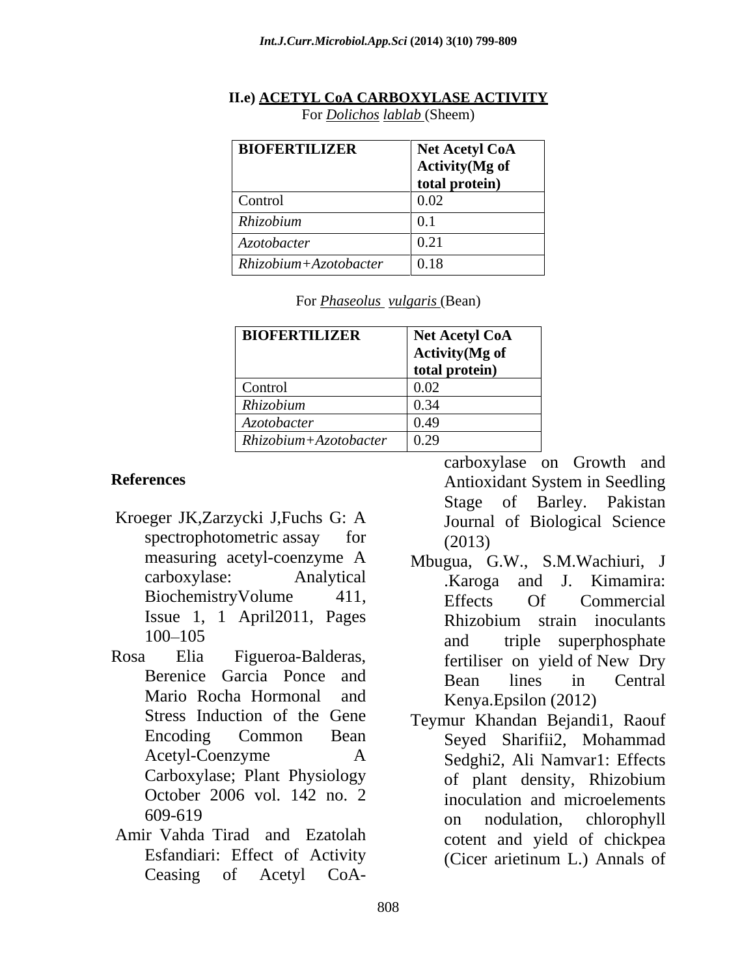| <b>BIOFERTILIZER</b>    | Net Acetyl CoA  |
|-------------------------|-----------------|
|                         | Activity (Mg of |
|                         | total protein)  |
| Control                 | 0.02            |
| Rhizobium               | 0.1             |
| Azotobacter             | 0.4             |
| $Rhizobium+Azotobacter$ | $\vert$ 0.18    |

## **II.e) ACETYL CoA CARBOXYLASE ACTIVITY**

For *Dolichos lablab* (Sheem)

| $\overline{\phantom{a}}$<br>For <i>Phaseolus</i><br>$\sqrt{2}$<br>' Rean-<br>vulgaris<br>DU GIL |
|-------------------------------------------------------------------------------------------------|
|                                                                                                 |

| <b>BIOFERTILIZER</b>    | Net Acetyl CoA         |
|-------------------------|------------------------|
|                         | <b>Activity</b> (Mg of |
|                         | total protein)         |
| Control                 |                        |
| Rhizobium               |                        |
| Azotobacter             | <b>V.42</b>            |
| $Rhizobium+Azotobacter$ | 0.29                   |

- Kroeger JK,Zarzycki J,Fuchs G: A spectrophotometric assay for (2013)
- Rosa Elia Figueroa-Balderas, fertiliser on yield of New Dry October 2006 vol. 142 no. 2
- Amir Vahda Tirad and Ezatolah

**References** Antioxidant System in Seedling Antioxidant System in Seedling Stage of Barley. Pakistan Journal of Biological Science (2013)

- measuring acetyl-coenzyme A Mbugua, G.W., S.M.Wachiuri, J carboxylase: Analytical Karoga and J. Kimamira: BiochemistryVolume 411, Effects Of Commercial Issue 1, 1 April2011, Pages 100–105 and triple superphosphate Berenice Garcia Ponce and Bean lines in Central Mario Rocha Hormonal and Kenva. Epsilon (2012) Mbugua, G.W., S.M.Wachiuri, J .Karoga and J. Kimamira: Effects Of Commercial Rhizobium strain inoculants and triple superphosphate fertiliser on yield of New Dry Bean lines in Central Kenya.Epsilon (2012)
- Stress Induction of the Gene Teymur Khandan Bejandi1, Raouf Encoding Common Bean Seyed Sharifii2, Mohammad Acetyl-Coenzyme A Sedghi2, Ali Namvar1: Effects Carboxylase; Plant Physiology of plant density, Rhizobium 609-619 on nodulation, chlorophyll Esfandiari: Effect of Activity (Cicer arietinum L.) Annals of rences<br>
erances<br>
erances<br>
erances<br>
erances<br>
erances<br>
erances<br>
erances<br>
erances<br>
erances<br>
erances<br>
erances<br>
erances<br>
erances<br>
erances<br>
erances<br>
erances<br>
erances<br>
erances<br>
erances<br>
erances<br>
erances<br>
erances<br>
erances<br>
erances of plant density, Rhizobium inoculation and microelements on nodulation, chlorophyll cotent and yield of chickpea (Cicer arietinum L.) Annals of